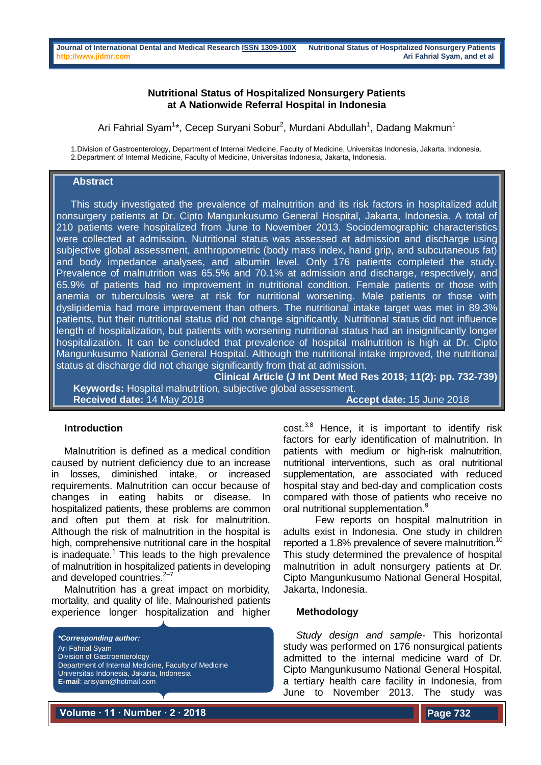## **Nutritional Status of Hospitalized Nonsurgery Patients at A Nationwide Referral Hospital in Indonesia**

Ari Fahrial Syam<sup>1\*</sup>, Cecep Suryani Sobur<sup>2</sup>, Murdani Abdullah<sup>1</sup>, Dadang Makmun<sup>1</sup>

1.Division of Gastroenterology, Department of Internal Medicine, Faculty of Medicine, Universitas Indonesia, Jakarta, Indonesia. 2.Department of Internal Medicine, Faculty of Medicine, Universitas Indonesia, Jakarta, Indonesia.

## **Abstract**

This study investigated the prevalence of malnutrition and its risk factors in hospitalized adult nonsurgery patients at Dr. Cipto Mangunkusumo General Hospital, Jakarta, Indonesia. A total of 210 patients were hospitalized from June to November 2013. Sociodemographic characteristics were collected at admission. Nutritional status was assessed at admission and discharge using subjective global assessment, anthropometric (body mass index, hand grip, and subcutaneous fat) and body impedance analyses, and albumin level. Only 176 patients completed the study. Prevalence of malnutrition was 65.5% and 70.1% at admission and discharge, respectively, and 65.9% of patients had no improvement in nutritional condition. Female patients or those with anemia or tuberculosis were at risk for nutritional worsening. Male patients or those with dyslipidemia had more improvement than others. The nutritional intake target was met in 89.3% patients, but their nutritional status did not change significantly. Nutritional status did not influence length of hospitalization, but patients with worsening nutritional status had an insignificantly longer hospitalization. It can be concluded that prevalence of hospital malnutrition is high at Dr. Cipto Mangunkusumo National General Hospital. Although the nutritional intake improved, the nutritional status at discharge did not change significantly from that at admission.

**Clinical Article (J Int Dent Med Res 2018; 11(2): pp. 732-739) Keywords:** Hospital malnutrition, subjective global assessment. **Received date:** 14 May 2018 **Accept date:** 15 June 2018

#### **Introduction**

Malnutrition is defined as a medical condition caused by nutrient deficiency due to an increase in losses, diminished intake, or increased requirements. Malnutrition can occur because of changes in eating habits or disease. In hospitalized patients, these problems are common and often put them at risk for malnutrition. Although the risk of malnutrition in the hospital is high, comprehensive nutritional care in the hospital is inadequate.<sup>1</sup> This leads to the high prevalence of malnutrition in hospitalized patients in developing and developed countries.<sup>2-7</sup>

Malnutrition has a great impact on morbidity, mortality, and quality of life. Malnourished patients experience longer hospitalization and higher

*\*Corresponding author:* Ari Fahrial Syam Division of Gastroenterology Department of Internal Medicine, Faculty of Medicine Universitas Indonesia, Jakarta, Indonesia **E-mail**: arisyam@hotmail.com

cost.<sup>3,8</sup> Hence, it is important to identify risk factors for early identification of malnutrition. In patients with medium or high-risk malnutrition, nutritional interventions, such as oral nutritional supplementation, are associated with reduced hospital stay and bed-day and complication costs compared with those of patients who receive no oral nutritional supplementation.<sup>9</sup>

Few reports on hospital malnutrition in adults exist in Indonesia. One study in children reported a 1.8% prevalence of severe malnutrition.<sup>10</sup> This study determined the prevalence of hospital malnutrition in adult nonsurgery patients at Dr. Cipto Mangunkusumo National General Hospital, Jakarta, Indonesia.

# **Methodology**

*Study design and sample-* This horizontal study was performed on 176 nonsurgical patients admitted to the internal medicine ward of Dr. Cipto Mangunkusumo National General Hospital, a tertiary health care facility in Indonesia, from June to November 2013. The study was

**Volume ∙ 11 ∙ Number ∙ 2 ∙ 2018**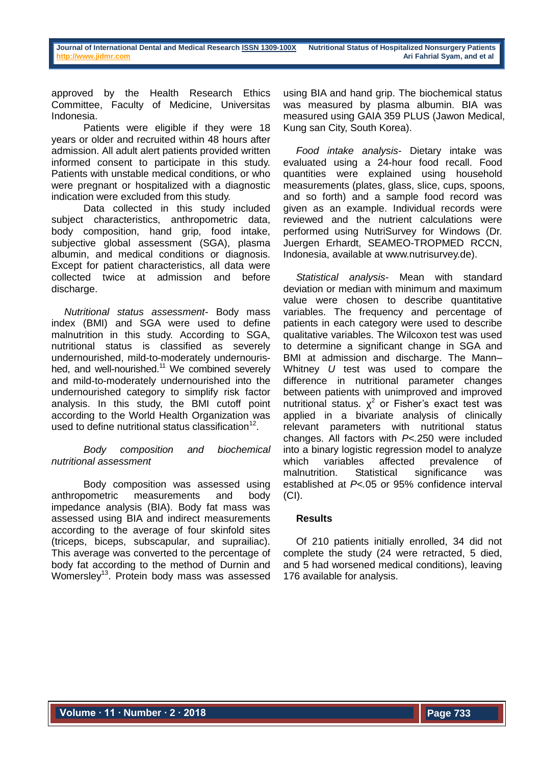approved by the Health Research Ethics Committee, Faculty of Medicine, Universitas Indonesia.

Patients were eligible if they were 18 years or older and recruited within 48 hours after admission. All adult alert patients provided written informed consent to participate in this study. Patients with unstable medical conditions, or who were pregnant or hospitalized with a diagnostic indication were excluded from this study.

Data collected in this study included subject characteristics, anthropometric data, body composition, hand grip, food intake, subjective global assessment (SGA), plasma albumin, and medical conditions or diagnosis. Except for patient characteristics, all data were collected twice at admission and before discharge.

*Nutritional status assessment-* Body mass index (BMI) and SGA were used to define malnutrition in this study. According to SGA, nutritional status is classified as severely undernourished, mild-to-moderately undernourished, and well-nourished.<sup>11</sup> We combined severely and mild-to-moderately undernourished into the undernourished category to simplify risk factor analysis. In this study, the BMI cutoff point according to the World Health Organization was used to define nutritional status classification $12$ .

# *Body composition and biochemical nutritional assessment*

Body composition was assessed using anthropometric measurements and body impedance analysis (BIA). Body fat mass was assessed using BIA and indirect measurements according to the average of four skinfold sites (triceps, biceps, subscapular, and suprailiac). This average was converted to the percentage of body fat according to the method of Durnin and Womersley<sup>13</sup>. Protein body mass was assessed using BIA and hand grip. The biochemical status was measured by plasma albumin. BIA was measured using GAIA 359 PLUS (Jawon Medical, Kung san City, South Korea).

*Food intake analysis-* Dietary intake was evaluated using a 24-hour food recall. Food quantities were explained using household measurements (plates, glass, slice, cups, spoons, and so forth) and a sample food record was given as an example. Individual records were reviewed and the nutrient calculations were performed using NutriSurvey for Windows (Dr. Juergen Erhardt, SEAMEO-TROPMED RCCN, Indonesia, available at www.nutrisurvey.de).

*Statistical analysis-* Mean with standard deviation or median with minimum and maximum value were chosen to describe quantitative variables. The frequency and percentage of patients in each category were used to describe qualitative variables. The Wilcoxon test was used to determine a significant change in SGA and BMI at admission and discharge. The Mann– Whitney *U* test was used to compare the difference in nutritional parameter changes between patients with unimproved and improved nutritional status.  $\chi^2$  or Fisher's exact test was applied in a bivariate analysis of clinically relevant parameters with nutritional status changes. All factors with *P<.*250 were included into a binary logistic regression model to analyze which variables affected prevalence of malnutrition. Statistical significance was established at *P<.*05 or 95% confidence interval  $(CI)$ .

# **Results**

Of 210 patients initially enrolled, 34 did not complete the study (24 were retracted, 5 died, and 5 had worsened medical conditions), leaving 176 available for analysis.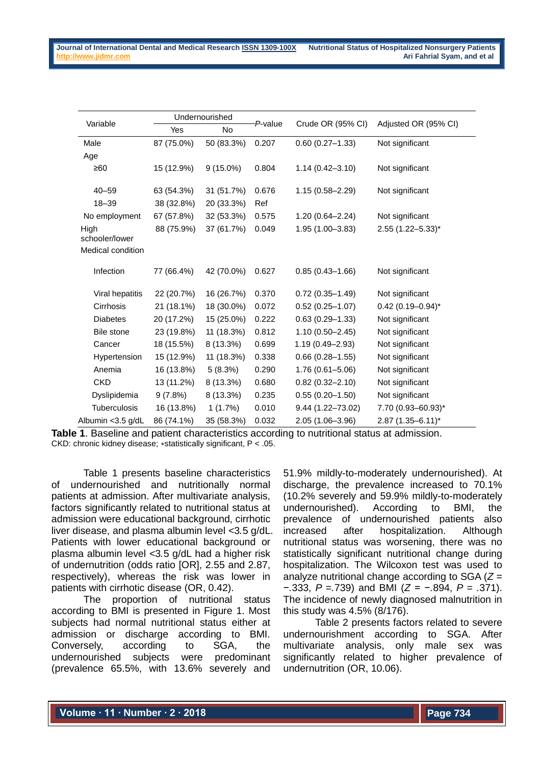|                        | Undernourished |             |         |                      |                      |  |
|------------------------|----------------|-------------|---------|----------------------|----------------------|--|
| Variable               | Yes            | No          | P-value | Crude OR (95% CI)    | Adjusted OR (95% CI) |  |
| Male                   | 87 (75.0%)     | 50 (83.3%)  | 0.207   | $0.60(0.27 - 1.33)$  | Not significant      |  |
| Age                    |                |             |         |                      |                      |  |
| ≥60                    | 15 (12.9%)     | $9(15.0\%)$ | 0.804   | $1.14(0.42 - 3.10)$  | Not significant      |  |
| $40 - 59$              | 63 (54.3%)     | 31 (51.7%)  | 0.676   | $1.15(0.58 - 2.29)$  | Not significant      |  |
| $18 - 39$              | 38 (32.8%)     | 20 (33.3%)  | Ref     |                      |                      |  |
| No employment          | 67 (57.8%)     | 32 (53.3%)  | 0.575   | $1.20(0.64 - 2.24)$  | Not significant      |  |
| High<br>schooler/lower | 88 (75.9%)     | 37 (61.7%)  | 0.049   | $1.95(1.00 - 3.83)$  | $2.55$ (1.22-5.33)*  |  |
| Medical condition      |                |             |         |                      |                      |  |
| Infection              | 77 (66.4%)     | 42 (70.0%)  | 0.627   | $0.85(0.43 - 1.66)$  | Not significant      |  |
| Viral hepatitis        | 22 (20.7%)     | 16 (26.7%)  | 0.370   | $0.72(0.35 - 1.49)$  | Not significant      |  |
| Cirrhosis              | 21 (18.1%)     | 18 (30.0%)  | 0.072   | $0.52(0.25 - 1.07)$  | $0.42$ (0.19-0.94)*  |  |
| <b>Diabetes</b>        | 20 (17.2%)     | 15 (25.0%)  | 0.222   | $0.63(0.29 - 1.33)$  | Not significant      |  |
| Bile stone             | 23 (19.8%)     | 11 (18.3%)  | 0.812   | $1.10(0.50 - 2.45)$  | Not significant      |  |
| Cancer                 | 18 (15.5%)     | 8 (13.3%)   | 0.699   | $1.19(0.49 - 2.93)$  | Not significant      |  |
| Hypertension           | 15 (12.9%)     | 11 (18.3%)  | 0.338   | $0.66(0.28 - 1.55)$  | Not significant      |  |
| Anemia                 | 16 (13.8%)     | 5(8.3%)     | 0.290   | $1.76(0.61 - 5.06)$  | Not significant      |  |
| <b>CKD</b>             | 13 (11.2%)     | 8 (13.3%)   | 0.680   | $0.82(0.32 - 2.10)$  | Not significant      |  |
| Dyslipidemia           | 9(7.8%)        | 8 (13.3%)   | 0.235   | $0.55(0.20 - 1.50)$  | Not significant      |  |
| Tuberculosis           | 16 (13.8%)     | 1(1.7%)     | 0.010   | $9.44(1.22 - 73.02)$ | 7.70 (0.93-60.93)*   |  |
| Albumin < 3.5 g/dL     | 86 (74.1%)     | 35 (58.3%)  | 0.032   | 2.05 (1.06-3.96)     | $2.87$ (1.35-6.11)*  |  |

**Table 1**. Baseline and patient characteristics according to nutritional status at admission. CKD: chronic kidney disease; ∗statistically significant, P < .05.

Table 1 presents baseline characteristics of undernourished and nutritionally normal patients at admission. After multivariate analysis, factors significantly related to nutritional status at admission were educational background, cirrhotic liver disease, and plasma albumin level *<*3*.*5 g/dL. Patients with lower educational background or plasma albumin level *<*3*.*5 g/dL had a higher risk of undernutrition (odds ratio [OR], 2.55 and 2.87, respectively), whereas the risk was lower in patients with cirrhotic disease (OR, 0.42).

The proportion of nutritional status according to BMI is presented in Figure 1. Most subjects had normal nutritional status either at admission or discharge according to BMI. Conversely, according to SGA, the undernourished subjects were predominant (prevalence 65.5%, with 13.6% severely and

51.9% mildly-to-moderately undernourished). At discharge, the prevalence increased to 70.1% (10.2% severely and 59.9% mildly-to-moderately undernourished). According to BMI, the prevalence of undernourished patients also increased after hospitalization. Although nutritional status was worsening, there was no statistically significant nutritional change during hospitalization. The Wilcoxon test was used to analyze nutritional change according to SGA (*Z* = −*.*333, *P* =*.*739) and BMI (*Z* = −*.*894, *P* = *.*371). The incidence of newly diagnosed malnutrition in this study was 4.5% (8/176).

Table 2 presents factors related to severe undernourishment according to SGA. After multivariate analysis, only male sex was significantly related to higher prevalence of undernutrition (OR, 10.06).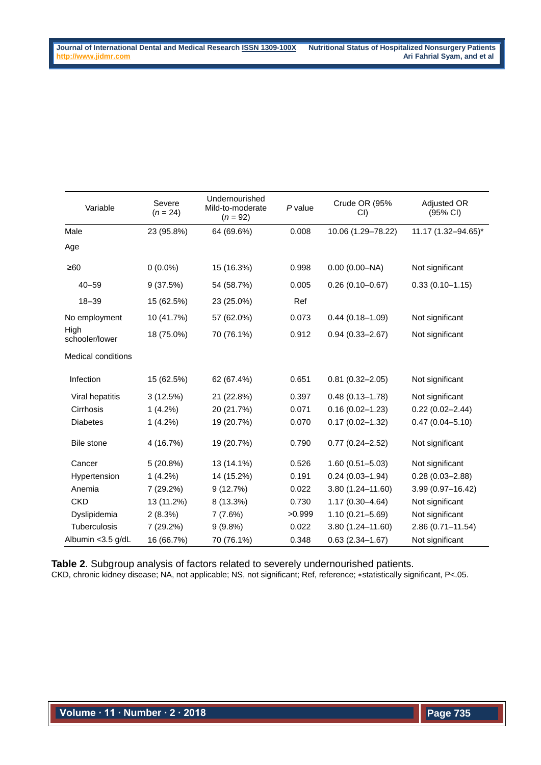| Variable               | Severe<br>$(n = 24)$ | Undernourished<br>Mild-to-moderate<br>$(n = 92)$ | P value | Crude OR (95%<br>CI) | Adjusted OR<br>$(95% \text{ Cl})$ |
|------------------------|----------------------|--------------------------------------------------|---------|----------------------|-----------------------------------|
| Male                   | 23 (95.8%)           | 64 (69.6%)                                       | 0.008   | 10.06 (1.29-78.22)   | 11.17 (1.32-94.65)*               |
| Age                    |                      |                                                  |         |                      |                                   |
| $\geq 60$              | $0(0.0\%)$           | 15 (16.3%)                                       | 0.998   | $0.00$ (0.00-NA)     | Not significant                   |
| $40 - 59$              | 9(37.5%)             | 54 (58.7%)                                       | 0.005   | $0.26(0.10 - 0.67)$  | $0.33(0.10 - 1.15)$               |
| $18 - 39$              | 15 (62.5%)           | 23 (25.0%)                                       | Ref     |                      |                                   |
| No employment          | 10 (41.7%)           | 57 (62.0%)                                       | 0.073   | $0.44(0.18 - 1.09)$  | Not significant                   |
| High<br>schooler/lower | 18 (75.0%)           | 70 (76.1%)                                       | 0.912   | $0.94(0.33 - 2.67)$  | Not significant                   |
| Medical conditions     |                      |                                                  |         |                      |                                   |
| Infection              | 15 (62.5%)           | 62 (67.4%)                                       | 0.651   | $0.81(0.32 - 2.05)$  | Not significant                   |
| Viral hepatitis        | 3(12.5%)             | 21 (22.8%)                                       | 0.397   | $0.48(0.13 - 1.78)$  | Not significant                   |
| Cirrhosis              | $1(4.2\%)$           | 20 (21.7%)                                       | 0.071   | $0.16(0.02 - 1.23)$  | $0.22(0.02 - 2.44)$               |
| <b>Diabetes</b>        | $1(4.2\%)$           | 19 (20.7%)                                       | 0.070   | $0.17(0.02 - 1.32)$  | $0.47(0.04 - 5.10)$               |
| Bile stone             | 4 (16.7%)            | 19 (20.7%)                                       | 0.790   | $0.77(0.24 - 2.52)$  | Not significant                   |
| Cancer                 | 5(20.8%)             | 13 (14.1%)                                       | 0.526   | $1.60(0.51 - 5.03)$  | Not significant                   |
| Hypertension           | $1(4.2\%)$           | 14 (15.2%)                                       | 0.191   | $0.24(0.03 - 1.94)$  | $0.28(0.03 - 2.88)$               |
| Anemia                 | 7 (29.2%)            | 9(12.7%)                                         | 0.022   | $3.80(1.24 - 11.60)$ | 3.99 (0.97-16.42)                 |
| <b>CKD</b>             | 13 (11.2%)           | 8 (13.3%)                                        | 0.730   | $1.17(0.30 - 4.64)$  | Not significant                   |
| Dyslipidemia           | 2(8.3%)              | 7(7.6%)                                          | >0.999  | $1.10(0.21 - 5.69)$  | Not significant                   |
| Tuberculosis           | 7 (29.2%)            | 9(9.8%)                                          | 0.022   | $3.80(1.24 - 11.60)$ | 2.86 (0.71-11.54)                 |
| Albumin < 3.5 g/dL     | 16 (66.7%)           | 70 (76.1%)                                       | 0.348   | $0.63(2.34 - 1.67)$  | Not significant                   |

**Table 2**. Subgroup analysis of factors related to severely undernourished patients. CKD, chronic kidney disease; NA, not applicable; NS, not significant; Ref, reference; ∗statistically significant, P<.05.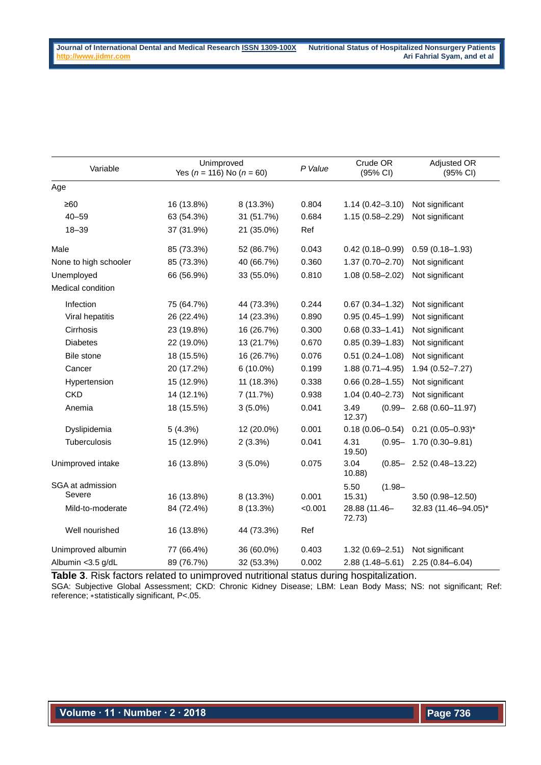| Variable              | Unimproved<br>Yes ( $n = 116$ ) No ( $n = 60$ ) |            | P Value | Crude OR<br>(95% CI)        | Adjusted OR<br>(95% CI)       |
|-----------------------|-------------------------------------------------|------------|---------|-----------------------------|-------------------------------|
| Age                   |                                                 |            |         |                             |                               |
| ≥60                   | 16 (13.8%)                                      | 8 (13.3%)  | 0.804   | $1.14(0.42 - 3.10)$         | Not significant               |
| $40 - 59$             | 63 (54.3%)                                      | 31 (51.7%) | 0.684   | $1.15(0.58 - 2.29)$         | Not significant               |
| $18 - 39$             | 37 (31.9%)                                      | 21 (35.0%) | Ref     |                             |                               |
| Male                  | 85 (73.3%)                                      | 52 (86.7%) | 0.043   | $0.42(0.18 - 0.99)$         | $0.59(0.18 - 1.93)$           |
| None to high schooler | 85 (73.3%)                                      | 40 (66.7%) | 0.360   | 1.37 (0.70-2.70)            | Not significant               |
| Unemployed            | 66 (56.9%)                                      | 33 (55.0%) | 0.810   | 1.08 (0.58-2.02)            | Not significant               |
| Medical condition     |                                                 |            |         |                             |                               |
| Infection             | 75 (64.7%)                                      | 44 (73.3%) | 0.244   | $0.67(0.34 - 1.32)$         | Not significant               |
| Viral hepatitis       | 26 (22.4%)                                      | 14 (23.3%) | 0.890   | $0.95(0.45 - 1.99)$         | Not significant               |
| Cirrhosis             | 23 (19.8%)                                      | 16 (26.7%) | 0.300   | $0.68(0.33 - 1.41)$         | Not significant               |
| <b>Diabetes</b>       | 22 (19.0%)                                      | 13 (21.7%) | 0.670   | $0.85(0.39 - 1.83)$         | Not significant               |
| Bile stone            | 18 (15.5%)                                      | 16 (26.7%) | 0.076   | $0.51(0.24 - 1.08)$         | Not significant               |
| Cancer                | 20 (17.2%)                                      | 6 (10.0%)  | 0.199   | $1.88(0.71 - 4.95)$         | 1.94 (0.52-7.27)              |
| Hypertension          | 15 (12.9%)                                      | 11 (18.3%) | 0.338   | $0.66(0.28 - 1.55)$         | Not significant               |
| <b>CKD</b>            | 14 (12.1%)                                      | 7(11.7%)   | 0.938   | $1.04(0.40 - 2.73)$         | Not significant               |
| Anemia                | 18 (15.5%)                                      | $3(5.0\%)$ | 0.041   | 3.49<br>$(0.99 -$<br>12.37) | 2.68 (0.60-11.97)             |
| Dyslipidemia          | 5(4.3%)                                         | 12 (20.0%) | 0.001   | $0.18(0.06 - 0.54)$         | $0.21$ (0.05-0.93)*           |
| <b>Tuberculosis</b>   | 15 (12.9%)                                      | 2(3.3%)    | 0.041   | 4.31<br>$(0.95 -$<br>19.50) | $1.70(0.30 - 9.81)$           |
| Unimproved intake     | 16 (13.8%)                                      | $3(5.0\%)$ | 0.075   | 3.04<br>10.88               | $(0.85 - 2.52(0.48 - 13.22))$ |
| SGA at admission      |                                                 |            |         | 5.50<br>$(1.98 -$           |                               |
| Severe                | 16 (13.8%)                                      | 8 (13.3%)  | 0.001   | 15.31)                      | $3.50(0.98 - 12.50)$          |
| Mild-to-moderate      | 84 (72.4%)                                      | 8 (13.3%)  | < 0.001 | 28.88 (11.46-<br>72.73)     | 32.83 (11.46-94.05)*          |
| Well nourished        | 16 (13.8%)                                      | 44 (73.3%) | Ref     |                             |                               |
| Unimproved albumin    | 77 (66.4%)                                      | 36 (60.0%) | 0.403   | $1.32(0.69 - 2.51)$         | Not significant               |
| Albumin <3.5 g/dL     | 89 (76.7%)                                      | 32 (53.3%) | 0.002   | 2.88 (1.48-5.61)            | $2.25(0.84 - 6.04)$           |

**Table 3**. Risk factors related to unimproved nutritional status during hospitalization. SGA: Subjective Global Assessment; CKD: Chronic Kidney Disease; LBM: Lean Body Mass; NS: not significant; Ref: reference; ∗statistically significant, P<.05.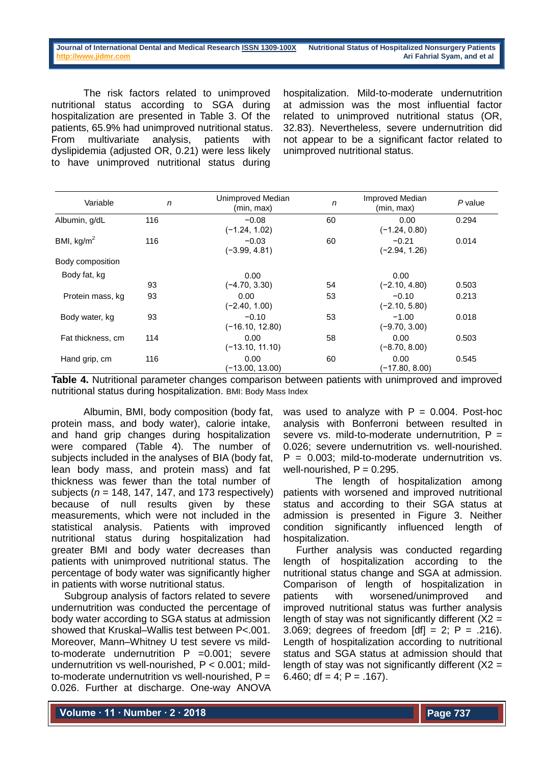#### **Journal of International Dental and Medical Researc[h ISSN 1309-100X](http://www.ektodermaldisplazi.com/dergi.htm) Nutritional Status of Hospitalized Nonsurgery Patients [http://www.jidmr.com](http://www.jidmr.com/) Ari Fahrial Syam, and et al**

The risk factors related to unimproved nutritional status according to SGA during hospitalization are presented in Table 3. Of the patients, 65.9% had unimproved nutritional status. From multivariate analysis, patients with dyslipidemia (adjusted OR, 0.21) were less likely to have unimproved nutritional status during

hospitalization. Mild-to-moderate undernutrition at admission was the most influential factor related to unimproved nutritional status (OR, 32.83). Nevertheless, severe undernutrition did not appear to be a significant factor related to unimproved nutritional status.

| Variable          | $\mathsf{n}$ | Unimproved Median<br>(min, max) | $\mathsf{n}$ | <b>Improved Median</b><br>(min, max) | $P$ value |
|-------------------|--------------|---------------------------------|--------------|--------------------------------------|-----------|
| Albumin, g/dL     | 116          | $-0.08$<br>$(-1.24, 1.02)$      | 60           | 0.00<br>$(-1.24, 0.80)$              | 0.294     |
| BMI, $kg/m2$      | 116          | $-0.03$<br>$(-3.99, 4.81)$      | 60           | $-0.21$<br>(-2.94, 1.26)             | 0.014     |
| Body composition  |              |                                 |              |                                      |           |
| Body fat, kg      |              | 0.00                            |              | 0.00                                 |           |
|                   | 93           | $(-4.70, 3.30)$                 | 54           | $(-2.10, 4.80)$                      | 0.503     |
| Protein mass, kg  | 93           | 0.00<br>$(-2.40, 1.00)$         | 53           | $-0.10$<br>$(-2.10, 5.80)$           | 0.213     |
| Body water, kg    | 93           | $-0.10$<br>$(-16.10, 12.80)$    | 53           | $-1.00$<br>$(-9.70, 3.00)$           | 0.018     |
| Fat thickness, cm | 114          | 0.00<br>$(-13.10, 11.10)$       | 58           | 0.00<br>$(-8.70, 8.00)$              | 0.503     |
| Hand grip, cm     | 116          | 0.00<br>(-13.00, 13.00)         | 60           | 0.00<br>(-17.80, 8.00)               | 0.545     |

**Table 4.** Nutritional parameter changes comparison between patients with unimproved and improved nutritional status during hospitalization. BMI: Body Mass Index

Albumin, BMI, body composition (body fat, protein mass, and body water), calorie intake, and hand grip changes during hospitalization were compared (Table 4). The number of subjects included in the analyses of BIA (body fat, lean body mass, and protein mass) and fat thickness was fewer than the total number of subjects (*n* = 148, 147, 147, and 173 respectively) because of null results given by these measurements, which were not included in the statistical analysis. Patients with improved nutritional status during hospitalization had greater BMI and body water decreases than patients with unimproved nutritional status. The percentage of body water was significantly higher in patients with worse nutritional status.

Subgroup analysis of factors related to severe undernutrition was conducted the percentage of body water according to SGA status at admission showed that Kruskal–Wallis test between P<.001. Moreover, Mann–Whitney U test severe vs mildto-moderate undernutrition  $P = 0.001$ ; severe undernutrition vs well-nourished, P < 0.001; mildto-moderate undernutrition vs well-nourished,  $P =$ 0.026. Further at discharge. One-way ANOVA was used to analyze with  $P = 0.004$ . Post-hoc analysis with Bonferroni between resulted in severe vs. mild-to-moderate undernutrition,  $P =$ 0.026; severe undernutrition vs. well-nourished.  $P = 0.003$ ; mild-to-moderate undernutrition vs. well-nourished,  $P = 0.295$ .

The length of hospitalization among patients with worsened and improved nutritional status and according to their SGA status at admission is presented in Figure 3. Neither condition significantly influenced length of hospitalization.

Further analysis was conducted regarding length of hospitalization according to the nutritional status change and SGA at admission. Comparison of length of hospitalization in patients with worsened/unimproved and improved nutritional status was further analysis length of stay was not significantly different  $(X2 =$ 3.069; degrees of freedom  $[df] = 2$ ; P = .216). Length of hospitalization according to nutritional status and SGA status at admission should that length of stay was not significantly different  $(X2 =$ 6.460; df = 4;  $P = .167$ ).

**Volume ∙ 11 ∙ Number ∙ 2 ∙ 2018**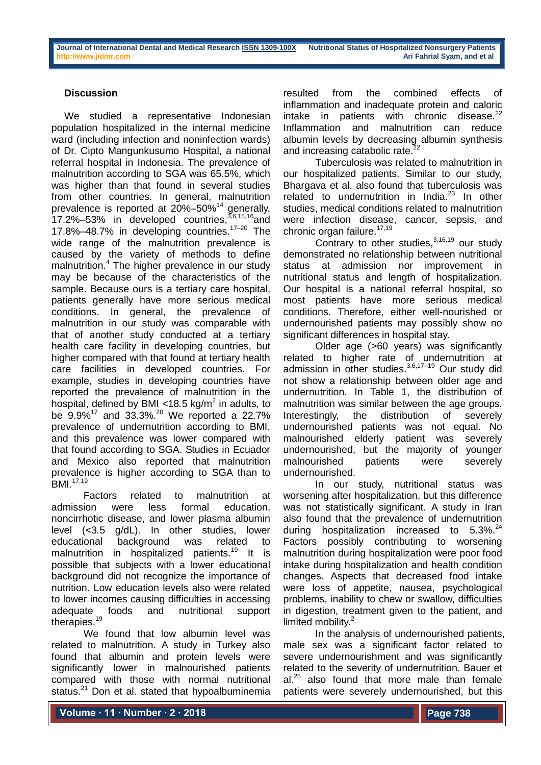## **Discussion**

We studied a representative Indonesian population hospitalized in the internal medicine ward (including infection and noninfection wards) of Dr. Cipto Mangunkusumo Hospital, a national referral hospital in Indonesia. The prevalence of malnutrition according to SGA was 65.5%, which was higher than that found in several studies from other countries. In general, malnutrition prevalence is reported at  $20\% - 50\%$ <sup>14</sup> generally, 17.2%-53% in developed countries,  $3,6,15,16$  and 17.8%–48.7% in developing countries. 17–20 The wide range of the malnutrition prevalence is caused by the variety of methods to define malnutrition. <sup>4</sup> The higher prevalence in our study may be because of the characteristics of the sample. Because ours is a tertiary care hospital, patients generally have more serious medical conditions. In general, the prevalence of malnutrition in our study was comparable with that of another study conducted at a tertiary health care facility in developing countries, but higher compared with that found at tertiary health care facilities in developed countries. For example, studies in developing countries have reported the prevalence of malnutrition in the hospital, defined by BMI <18.5 kg/m<sup>2</sup> in adults, to be  $9.9\%$ <sup>17</sup> and 33.3%.<sup>20</sup> We reported a 22.7% prevalence of undernutrition according to BMI, and this prevalence was lower compared with that found according to SGA. Studies in Ecuador and Mexico also reported that malnutrition prevalence is higher according to SGA than to BMI. 17,19

Factors related to malnutrition at admission were less formal education, noncirrhotic disease, and lower plasma albumin level (*<*3*.*5 g/dL). In other studies, lower educational background was related to malnutrition in hospitalized patients.<sup>19</sup> It is possible that subjects with a lower educational background did not recognize the importance of nutrition. Low education levels also were related to lower incomes causing difficulties in accessing adequate foods and nutritional support therapies.<sup>19</sup>

We found that low albumin level was related to malnutrition. A study in Turkey also found that albumin and protein levels were significantly lower in malnourished patients compared with those with normal nutritional status.<sup>21</sup> Don et al. stated that hypoalbuminemia resulted from the combined effects of inflammation and inadequate protein and caloric intake in patients with chronic disease.<sup>22</sup> Inflammation and malnutrition can reduce albumin levels by decreasing albumin synthesis and increasing catabolic rate.<sup>22</sup>

Tuberculosis was related to malnutrition in our hospitalized patients. Similar to our study, Bhargava et al. also found that tuberculosis was related to undernutrition in India.<sup>23</sup> In other studies, medical conditions related to malnutrition were infection disease, cancer, sepsis, and chronic organ failure. 17,19

Contrary to other studies, $3,16,19$  our study demonstrated no relationship between nutritional status at admission nor improvement in nutritional status and length of hospitalization. Our hospital is a national referral hospital, so most patients have more serious medical conditions. Therefore, either well-nourished or undernourished patients may possibly show no significant differences in hospital stay.

Older age (>60 years) was significantly related to higher rate of undernutrition at admission in other studies.<sup>3,6,17-19</sup> Our study did not show a relationship between older age and undernutrition. In Table 1, the distribution of malnutrition was similar between the age groups. Interestingly, the distribution of severely undernourished patients was not equal. No malnourished elderly patient was severely undernourished, but the majority of younger malnourished patients were severely undernourished.

In our study, nutritional status was worsening after hospitalization, but this difference was not statistically significant. A study in Iran also found that the prevalence of undernutrition during hospitalization increased to 5.3%.<sup>24</sup> Factors possibly contributing to worsening malnutrition during hospitalization were poor food intake during hospitalization and health condition changes. Aspects that decreased food intake were loss of appetite, nausea, psychological problems, inability to chew or swallow, difficulties in digestion, treatment given to the patient, and limited mobility. 2

In the analysis of undernourished patients, male sex was a significant factor related to severe undernourishment and was significantly related to the severity of undernutrition. Bauer et  $al.^{25}$  also found that more male than female patients were severely undernourished, but this

**Volume ∙ 11 ∙ Number ∙ 2 ∙ 2018**